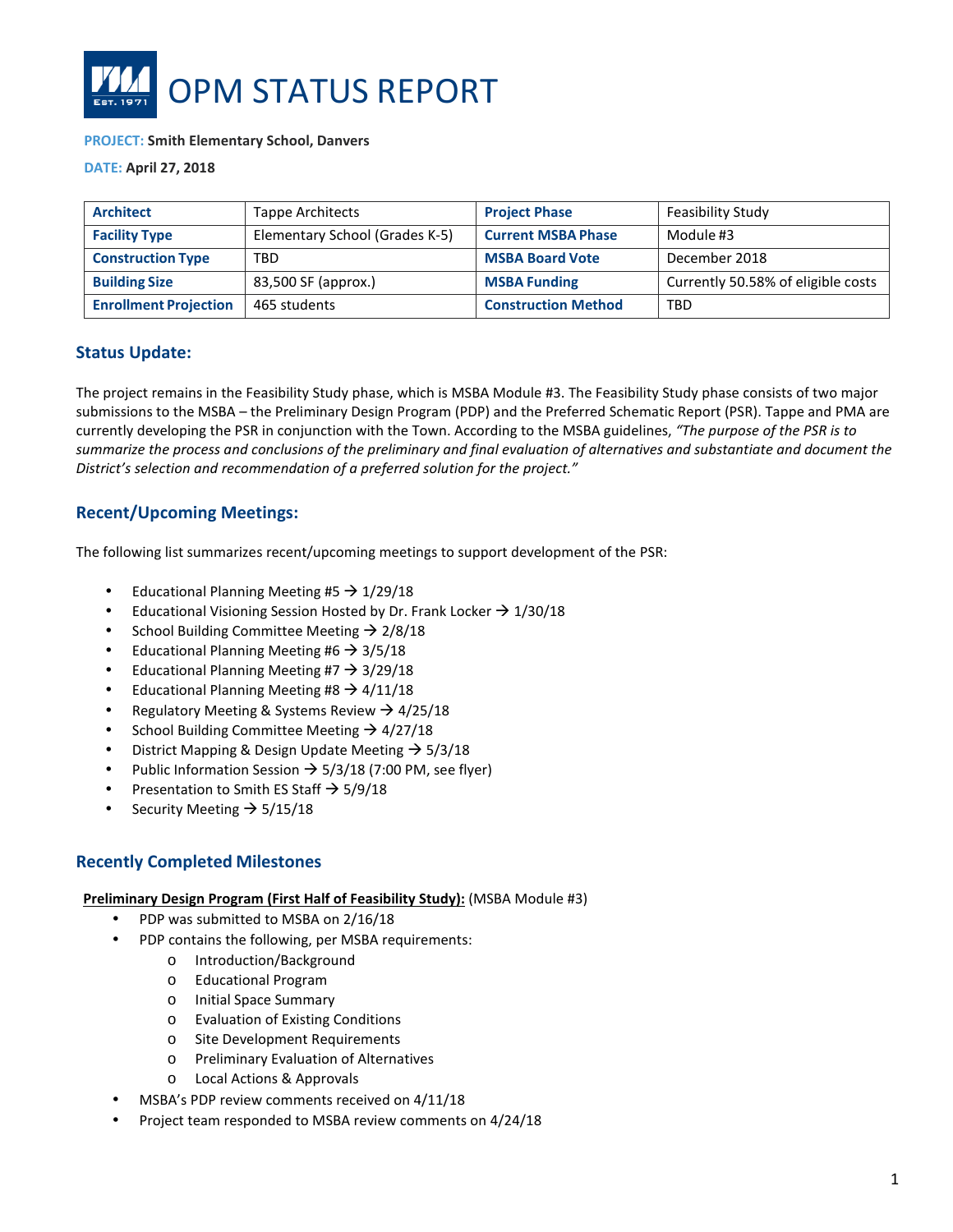

#### **PROJECT: Smith Elementary School, Danvers**

**DATE: April 27, 2018**

| <b>Architect</b>             | Tappe Architects               | <b>Project Phase</b>       | Feasibility Study                  |
|------------------------------|--------------------------------|----------------------------|------------------------------------|
| <b>Facility Type</b>         | Elementary School (Grades K-5) | <b>Current MSBA Phase</b>  | Module #3                          |
| <b>Construction Type</b>     | <b>TBD</b>                     | <b>MSBA Board Vote</b>     | December 2018                      |
| <b>Building Size</b>         | 83,500 SF (approx.)            | <b>MSBA Funding</b>        | Currently 50.58% of eligible costs |
| <b>Enrollment Projection</b> | 465 students                   | <b>Construction Method</b> | TBD                                |

## **Status Update:**

The project remains in the Feasibility Study phase, which is MSBA Module #3. The Feasibility Study phase consists of two major submissions to the MSBA – the Preliminary Design Program (PDP) and the Preferred Schematic Report (PSR). Tappe and PMA are currently developing the PSR in conjunction with the Town. According to the MSBA guidelines, *"The purpose of the PSR is to summarize the process and conclusions of the preliminary and final evaluation of alternatives and substantiate and document the District's selection and recommendation of a preferred solution for the project."* 

# **Recent/Upcoming Meetings:**

The following list summarizes recent/upcoming meetings to support development of the PSR:

- Educational Planning Meeting #5  $\rightarrow$  1/29/18
- Educational Visioning Session Hosted by Dr. Frank Locker  $\rightarrow$  1/30/18
- School Building Committee Meeting  $\rightarrow$  2/8/18
- Educational Planning Meeting #6  $\rightarrow$  3/5/18
- Educational Planning Meeting #7  $\rightarrow$  3/29/18
- Educational Planning Meeting #8  $\rightarrow$  4/11/18
- Regulatory Meeting & Systems Review  $\rightarrow$  4/25/18
- School Building Committee Meeting  $\rightarrow$  4/27/18
- District Mapping & Design Update Meeting  $\rightarrow$  5/3/18
- Public Information Session  $\rightarrow$  5/3/18 (7:00 PM, see flyer)
- Presentation to Smith ES Staff  $\rightarrow$  5/9/18
- Security Meeting  $\rightarrow$  5/15/18

#### **Recently Completed Milestones**

#### **Preliminary Design Program (First Half of Feasibility Study):** (MSBA Module #3)

- PDP was submitted to MSBA on 2/16/18
- PDP contains the following, per MSBA requirements:
	- o Introduction/Background
	- o Educational Program
	- o Initial Space Summary
	- o Evaluation of Existing Conditions
	- o Site Development Requirements
	- o Preliminary Evaluation of Alternatives
	- o Local Actions & Approvals
- MSBA's PDP review comments received on 4/11/18
- Project team responded to MSBA review comments on 4/24/18